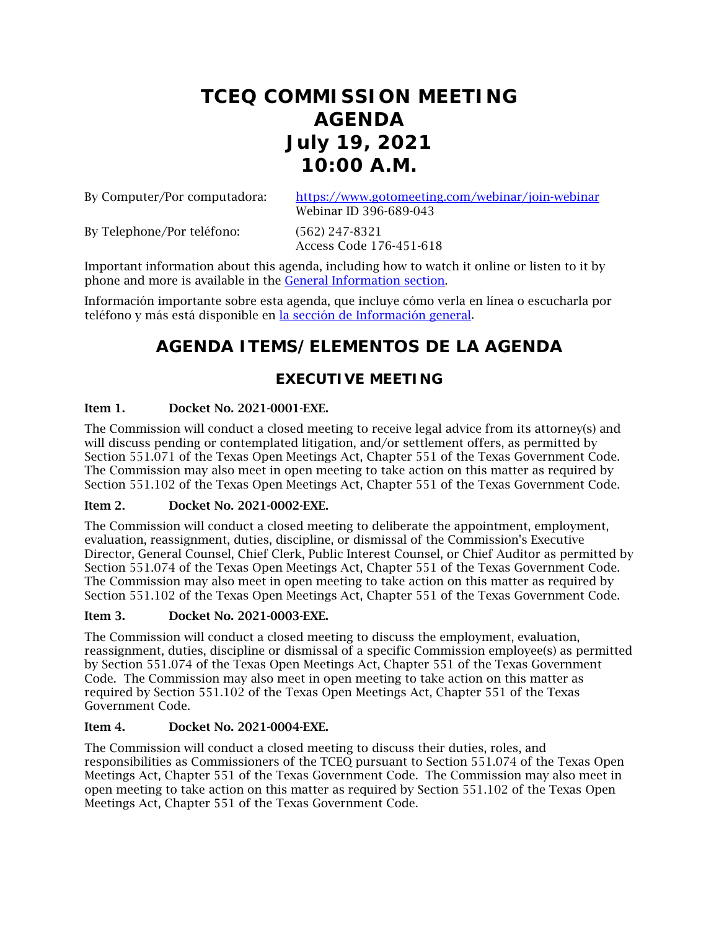# **TCEQ COMMISSION MEETING AGENDA July 19, 2021 10:00 A.M.**

By Computer/Por computadora: <https://www.gotomeeting.com/webinar/join-webinar>

Webinar ID 396-689-043

By Telephone/Por teléfono: (562) 247-8321 Access Code 176-451-618

Important information about this agenda, including how to watch it online or listen to it by phone and more is available in the [General Information section.](#page-1-0)

Información importante sobre esta agenda, que incluye cómo verla en línea o escucharla por teléfono y más está disponible en [la sección de Información general.](#page-1-0)

## **AGENDA ITEMS/ELEMENTOS DE LA AGENDA**

## **EXECUTIVE MEETING**

## Item 1. Docket No. 2021-0001-EXE.

The Commission will conduct a closed meeting to receive legal advice from its attorney(s) and will discuss pending or contemplated litigation, and/or settlement offers, as permitted by Section 551.071 of the Texas Open Meetings Act, Chapter 551 of the Texas Government Code. The Commission may also meet in open meeting to take action on this matter as required by Section 551.102 of the Texas Open Meetings Act, Chapter 551 of the Texas Government Code.

### Item 2. Docket No. 2021-0002-EXE.

The Commission will conduct a closed meeting to deliberate the appointment, employment, evaluation, reassignment, duties, discipline, or dismissal of the Commission's Executive Director, General Counsel, Chief Clerk, Public Interest Counsel, or Chief Auditor as permitted by Section 551.074 of the Texas Open Meetings Act, Chapter 551 of the Texas Government Code. The Commission may also meet in open meeting to take action on this matter as required by Section 551.102 of the Texas Open Meetings Act, Chapter 551 of the Texas Government Code.

## Item 3. Docket No. 2021-0003-EXE.

The Commission will conduct a closed meeting to discuss the employment, evaluation, reassignment, duties, discipline or dismissal of a specific Commission employee(s) as permitted by Section 551.074 of the Texas Open Meetings Act, Chapter 551 of the Texas Government Code. The Commission may also meet in open meeting to take action on this matter as required by Section 551.102 of the Texas Open Meetings Act, Chapter 551 of the Texas Government Code.

## Item 4. Docket No. 2021-0004-EXE.

The Commission will conduct a closed meeting to discuss their duties, roles, and responsibilities as Commissioners of the TCEQ pursuant to Section 551.074 of the Texas Open Meetings Act, Chapter 551 of the Texas Government Code. The Commission may also meet in open meeting to take action on this matter as required by Section 551.102 of the Texas Open Meetings Act, Chapter 551 of the Texas Government Code.